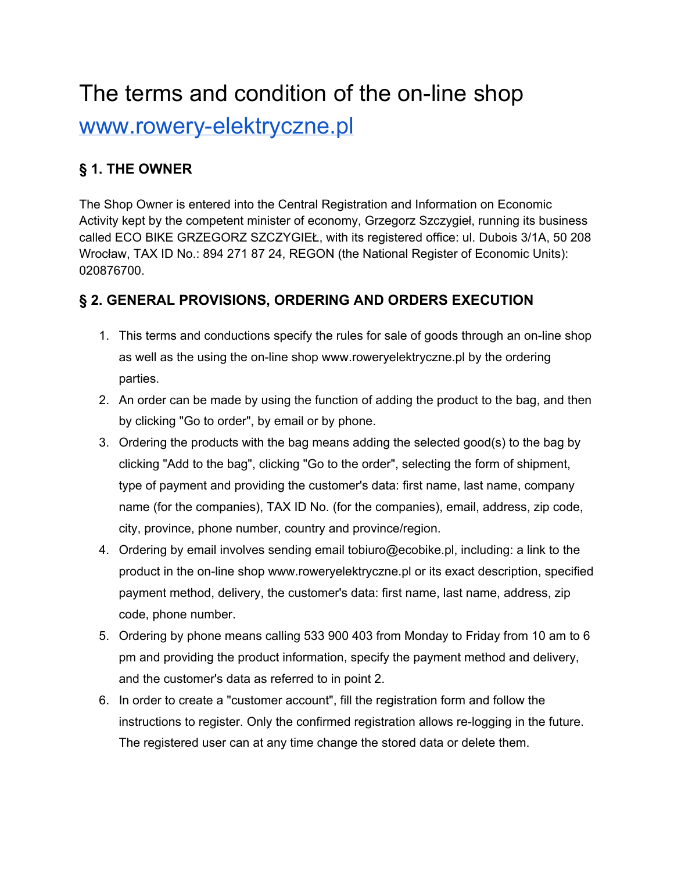# The terms and condition of the on-line shop www.rowery-elektryczne.pl

### **§ 1. THE OWNER**

The Shop Owner is entered into the Central Registration and Information on Economic Activity kept by the competent minister of economy, Grzegorz Szczygieł, running its business called ECO BIKE GRZEGORZ SZCZYGIEŁ, with its registered office: ul. Dubois 3/1A, 50 208 Wrocław, TAX ID No.: 894 271 87 24, REGON (the National Register of Economic Units): 020876700.

### **§ 2. GENERAL PROVISIONS, ORDERING AND ORDERS EXECUTION**

- 1. This terms and conductions specify the rules for sale of goods through an on-line shop as well as the using the on-line shop www.roweryelektryczne.pl by the ordering parties.
- 2. An order can be made by using the function of adding the product to the bag, and then by clicking "Go to order", by email or by phone.
- 3. Ordering the products with the bag means adding the selected good(s) to the bag by clicking "Add to the bag", clicking "Go to the order", selecting the form of shipment, type of payment and providing the customer's data: first name, last name, company name (for the companies), TAX ID No. (for the companies), email, address, zip code, city, province, phone number, country and province/region.
- 4. Ordering by email involves sending email tobiuro@ecobike.pl, including: a link to the product in the on-line shop www.roweryelektryczne.pl or its exact description, specified payment method, delivery, the customer's data: first name, last name, address, zip code, phone number.
- 5. Ordering by phone means calling 533 900 403 from Monday to Friday from 10 am to 6 pm and providing the product information, specify the payment method and delivery, and the customer's data as referred to in point 2.
- 6. In order to create a "customer account", fill the registration form and follow the instructions to register. Only the confirmed registration allows re-logging in the future. The registered user can at any time change the stored data or delete them.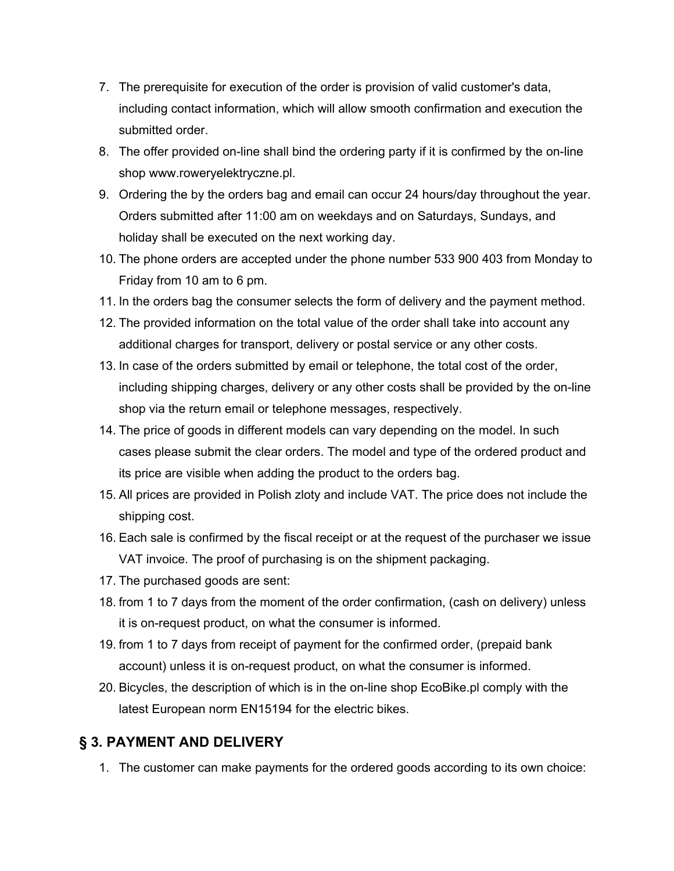- 7. The prerequisite for execution of the order is provision of valid customer's data, including contact information, which will allow smooth confirmation and execution the submitted order.
- 8. The offer provided on-line shall bind the ordering party if it is confirmed by the on-line shop www.roweryelektryczne.pl.
- 9. Ordering the by the orders bag and email can occur 24 hours/day throughout the year. Orders submitted after 11:00 am on weekdays and on Saturdays, Sundays, and holiday shall be executed on the next working day.
- 10. The phone orders are accepted under the phone number 533 900 403 from Monday to Friday from 10 am to 6 pm.
- 11. In the orders bag the consumer selects the form of delivery and the payment method.
- 12. The provided information on the total value of the order shall take into account any additional charges for transport, delivery or postal service or any other costs.
- 13. In case of the orders submitted by email or telephone, the total cost of the order, including shipping charges, delivery or any other costs shall be provided by the on-line shop via the return email or telephone messages, respectively.
- 14. The price of goods in different models can vary depending on the model. In such cases please submit the clear orders. The model and type of the ordered product and its price are visible when adding the product to the orders bag.
- 15. All prices are provided in Polish zloty and include VAT. The price does not include the shipping cost.
- 16. Each sale is confirmed by the fiscal receipt or at the request of the purchaser we issue VAT invoice. The proof of purchasing is on the shipment packaging.
- 17. The purchased goods are sent:
- 18. from 1 to 7 days from the moment of the order confirmation, (cash on delivery) unless it is on-request product, on what the consumer is informed.
- 19. from 1 to 7 days from receipt of payment for the confirmed order, (prepaid bank account) unless it is on-request product, on what the consumer is informed.
- 20. Bicycles, the description of which is in the on-line shop EcoBike.pl comply with the latest European norm EN15194 for the electric bikes.

### **§ 3. PAYMENT AND DELIVERY**

1. The customer can make payments for the ordered goods according to its own choice: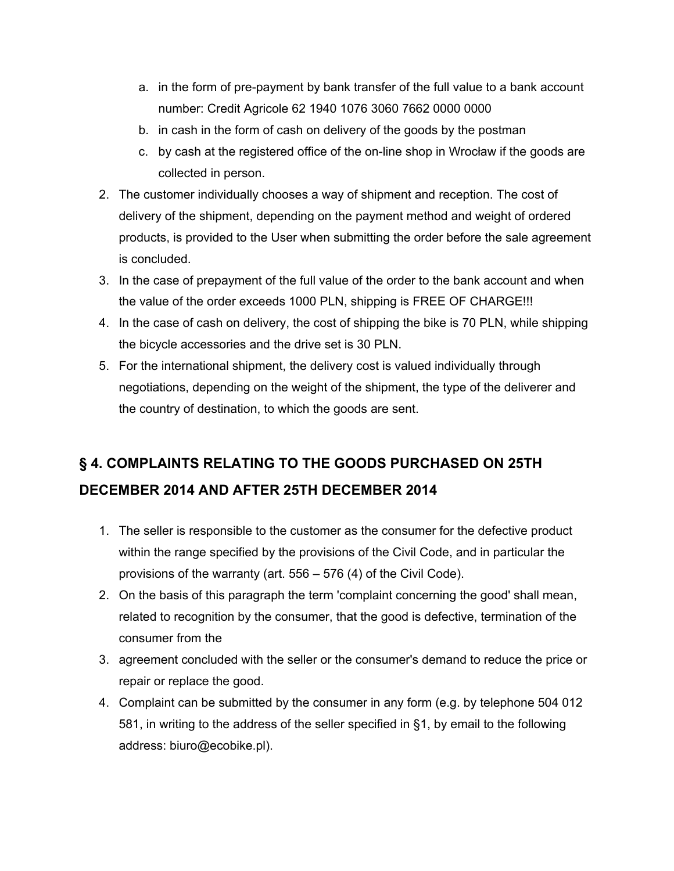- a. in the form of pre-payment by bank transfer of the full value to a bank account number: Credit Agricole 62 1940 1076 3060 7662 0000 0000
- b. in cash in the form of cash on delivery of the goods by the postman
- c. by cash at the registered office of the on-line shop in Wrocław if the goods are collected in person.
- 2. The customer individually chooses a way of shipment and reception. The cost of delivery of the shipment, depending on the payment method and weight of ordered products, is provided to the User when submitting the order before the sale agreement is concluded.
- 3. In the case of prepayment of the full value of the order to the bank account and when the value of the order exceeds 1000 PLN, shipping is FREE OF CHARGE!!!
- 4. In the case of cash on delivery, the cost of shipping the bike is 70 PLN, while shipping the bicycle accessories and the drive set is 30 PLN.
- 5. For the international shipment, the delivery cost is valued individually through negotiations, depending on the weight of the shipment, the type of the deliverer and the country of destination, to which the goods are sent.

## **§ 4. COMPLAINTS RELATING TO THE GOODS PURCHASED ON 25TH DECEMBER 2014 AND AFTER 25TH DECEMBER 2014**

- 1. The seller is responsible to the customer as the consumer for the defective product within the range specified by the provisions of the Civil Code, and in particular the provisions of the warranty (art. 556 – 576 (4) of the Civil Code).
- 2. On the basis of this paragraph the term 'complaint concerning the good' shall mean, related to recognition by the consumer, that the good is defective, termination of the consumer from the
- 3. agreement concluded with the seller or the consumer's demand to reduce the price or repair or replace the good.
- 4. Complaint can be submitted by the consumer in any form (e.g. by telephone 504 012 581, in writing to the address of the seller specified in §1, by email to the following address: biuro@ecobike.pl).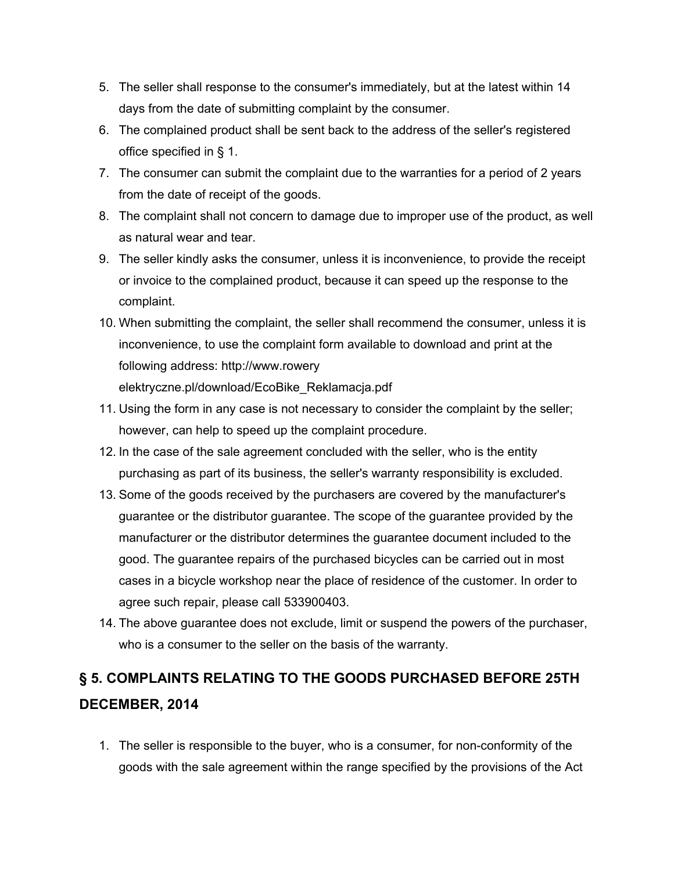- 5. The seller shall response to the consumer's immediately, but at the latest within 14 days from the date of submitting complaint by the consumer.
- 6. The complained product shall be sent back to the address of the seller's registered office specified in § 1.
- 7. The consumer can submit the complaint due to the warranties for a period of 2 years from the date of receipt of the goods.
- 8. The complaint shall not concern to damage due to improper use of the product, as well as natural wear and tear.
- 9. The seller kindly asks the consumer, unless it is inconvenience, to provide the receipt or invoice to the complained product, because it can speed up the response to the complaint.
- 10. When submitting the complaint, the seller shall recommend the consumer, unless it is inconvenience, to use the complaint form available to download and print at the following address: http://www.rowery elektryczne.pl/download/EcoBike\_Reklamacja.pdf
- 11. Using the form in any case is not necessary to consider the complaint by the seller; however, can help to speed up the complaint procedure.
- 12. In the case of the sale agreement concluded with the seller, who is the entity purchasing as part of its business, the seller's warranty responsibility is excluded.
- 13. Some of the goods received by the purchasers are covered by the manufacturer's guarantee or the distributor guarantee. The scope of the guarantee provided by the manufacturer or the distributor determines the guarantee document included to the good. The guarantee repairs of the purchased bicycles can be carried out in most cases in a bicycle workshop near the place of residence of the customer. In order to agree such repair, please call 533900403.
- 14. The above guarantee does not exclude, limit or suspend the powers of the purchaser, who is a consumer to the seller on the basis of the warranty.

### **§ 5. COMPLAINTS RELATING TO THE GOODS PURCHASED BEFORE 25TH DECEMBER, 2014**

1. The seller is responsible to the buyer, who is a consumer, for nonconformity of the goods with the sale agreement within the range specified by the provisions of the Act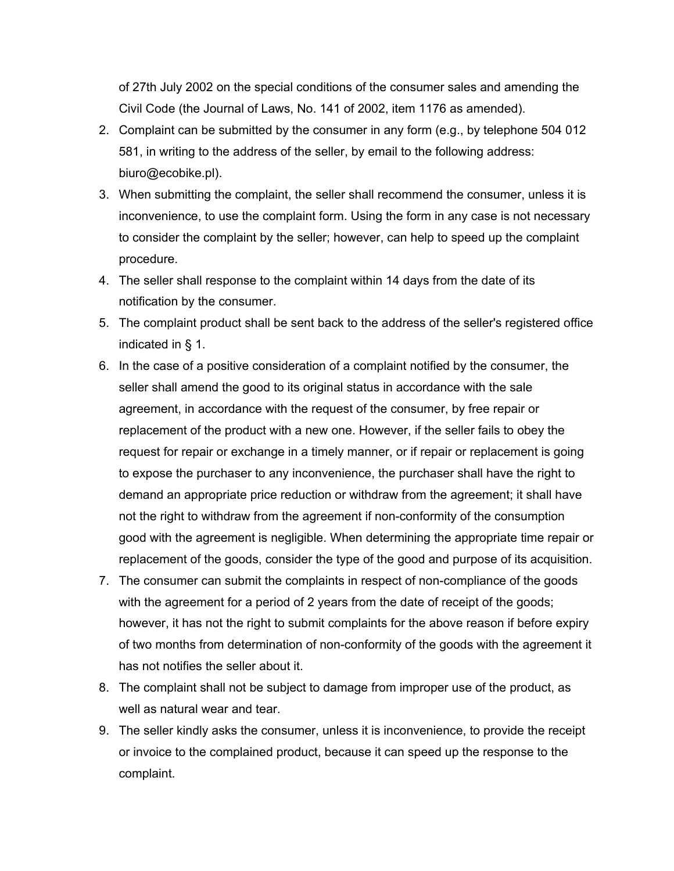of 27th July 2002 on the special conditions of the consumer sales and amending the Civil Code (the Journal of Laws, No. 141 of 2002, item 1176 as amended).

- 2. Complaint can be submitted by the consumer in any form (e.g., by telephone 504 012 581, in writing to the address of the seller, by email to the following address: biuro@ecobike.pl).
- 3. When submitting the complaint, the seller shall recommend the consumer, unless it is inconvenience, to use the complaint form. Using the form in any case is not necessary to consider the complaint by the seller; however, can help to speed up the complaint procedure.
- 4. The seller shall response to the complaint within 14 days from the date of its notification by the consumer.
- 5. The complaint product shall be sent back to the address of the seller's registered office indicated in § 1.
- 6. In the case of a positive consideration of a complaint notified by the consumer, the seller shall amend the good to its original status in accordance with the sale agreement, in accordance with the request of the consumer, by free repair or replacement of the product with a new one. However, if the seller fails to obey the request for repair or exchange in a timely manner, or if repair or replacement is going to expose the purchaser to any inconvenience, the purchaser shall have the right to demand an appropriate price reduction or withdraw from the agreement; it shall have not the right to withdraw from the agreement if non-conformity of the consumption good with the agreement is negligible. When determining the appropriate time repair or replacement of the goods, consider the type of the good and purpose of its acquisition.
- 7. The consumer can submit the complaints in respect of non-compliance of the goods with the agreement for a period of 2 years from the date of receipt of the goods; however, it has not the right to submit complaints for the above reason if before expiry of two months from determination of nonconformity of the goods with the agreement it has not notifies the seller about it.
- 8. The complaint shall not be subject to damage from improper use of the product, as well as natural wear and tear.
- 9. The seller kindly asks the consumer, unless it is inconvenience, to provide the receipt or invoice to the complained product, because it can speed up the response to the complaint.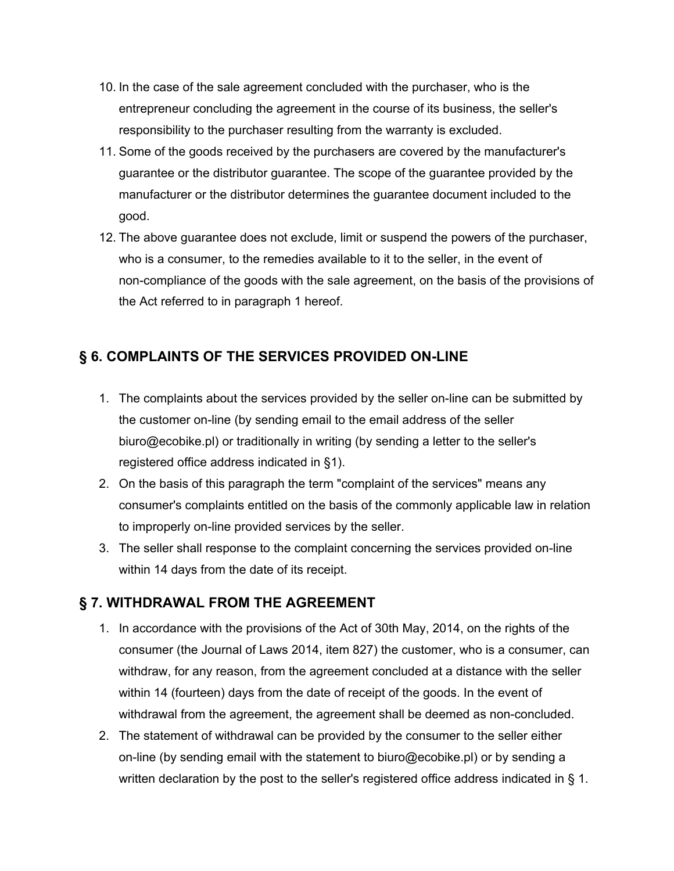- 10. In the case of the sale agreement concluded with the purchaser, who is the entrepreneur concluding the agreement in the course of its business, the seller's responsibility to the purchaser resulting from the warranty is excluded.
- 11. Some of the goods received by the purchasers are covered by the manufacturer's guarantee or the distributor guarantee. The scope of the guarantee provided by the manufacturer or the distributor determines the guarantee document included to the good.
- 12. The above guarantee does not exclude, limit or suspend the powers of the purchaser, who is a consumer, to the remedies available to it to the seller, in the event of non-compliance of the goods with the sale agreement, on the basis of the provisions of the Act referred to in paragraph 1 hereof.

### **§ 6. COMPLAINTS OF THE SERVICES PROVIDED ONLINE**

- 1. The complaints about the services provided by the seller on-line can be submitted by the customer on-line (by sending email to the email address of the seller biuro@ecobike.pl) or traditionally in writing (by sending a letter to the seller's registered office address indicated in §1).
- 2. On the basis of this paragraph the term "complaint of the services" means any consumer's complaints entitled on the basis of the commonly applicable law in relation to improperly on-line provided services by the seller.
- 3. The seller shall response to the complaint concerning the services provided on-line within 14 days from the date of its receipt.

### **§ 7. WITHDRAWAL FROM THE AGREEMENT**

- 1. In accordance with the provisions of the Act of 30th May, 2014, on the rights of the consumer (the Journal of Laws 2014, item 827) the customer, who is a consumer, can withdraw, for any reason, from the agreement concluded at a distance with the seller within 14 (fourteen) days from the date of receipt of the goods. In the event of withdrawal from the agreement, the agreement shall be deemed as non-concluded.
- 2. The statement of withdrawal can be provided by the consumer to the seller either on-line (by sending email with the statement to biuro@ecobike.pl) or by sending a written declaration by the post to the seller's registered office address indicated in § 1.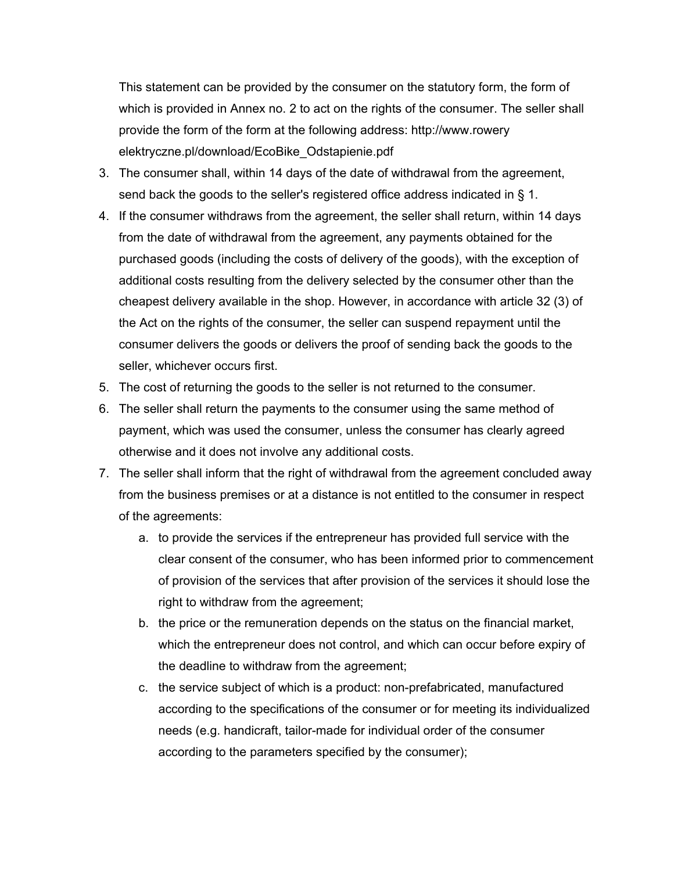This statement can be provided by the consumer on the statutory form, the form of which is provided in Annex no. 2 to act on the rights of the consumer. The seller shall provide the form of the form at the following address: http://www.rowery elektryczne.pl/download/EcoBike\_Odstapienie.pdf

- 3. The consumer shall, within 14 days of the date of withdrawal from the agreement, send back the goods to the seller's registered office address indicated in § 1.
- 4. If the consumer withdraws from the agreement, the seller shall return, within 14 days from the date of withdrawal from the agreement, any payments obtained for the purchased goods (including the costs of delivery of the goods), with the exception of additional costs resulting from the delivery selected by the consumer other than the cheapest delivery available in the shop. However, in accordance with article 32 (3) of the Act on the rights of the consumer, the seller can suspend repayment until the consumer delivers the goods or delivers the proof of sending back the goods to the seller, whichever occurs first.
- 5. The cost of returning the goods to the seller is not returned to the consumer.
- 6. The seller shall return the payments to the consumer using the same method of payment, which was used the consumer, unless the consumer has clearly agreed otherwise and it does not involve any additional costs.
- 7. The seller shall inform that the right of withdrawal from the agreement concluded away from the business premises or at a distance is not entitled to the consumer in respect of the agreements:
	- a. to provide the services if the entrepreneur has provided full service with the clear consent of the consumer, who has been informed prior to commencement of provision of the services that after provision of the services it should lose the right to withdraw from the agreement;
	- b. the price or the remuneration depends on the status on the financial market, which the entrepreneur does not control, and which can occur before expiry of the deadline to withdraw from the agreement;
	- c. the service subject of which is a product: non-prefabricated, manufactured according to the specifications of the consumer or for meeting its individualized needs (e.g. handicraft, tailor-made for individual order of the consumer according to the parameters specified by the consumer);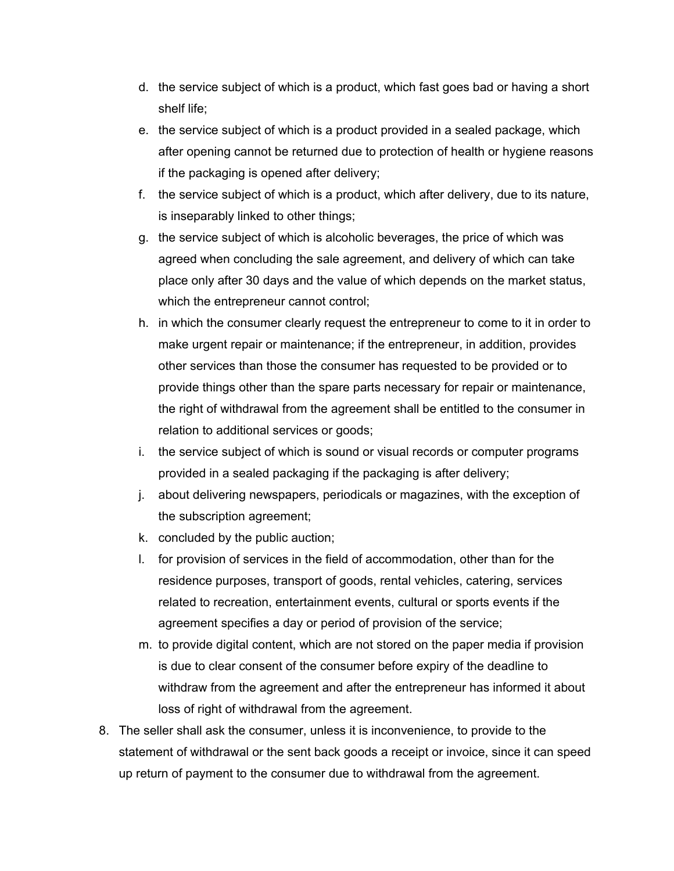- d. the service subject of which is a product, which fast goes bad or having a short shelf life;
- e. the service subject of which is a product provided in a sealed package, which after opening cannot be returned due to protection of health or hygiene reasons if the packaging is opened after delivery;
- f. the service subject of which is a product, which after delivery, due to its nature, is inseparably linked to other things;
- g. the service subject of which is alcoholic beverages, the price of which was agreed when concluding the sale agreement, and delivery of which can take place only after 30 days and the value of which depends on the market status, which the entrepreneur cannot control;
- h. in which the consumer clearly request the entrepreneur to come to it in order to make urgent repair or maintenance; if the entrepreneur, in addition, provides other services than those the consumer has requested to be provided or to provide things other than the spare parts necessary for repair or maintenance, the right of withdrawal from the agreement shall be entitled to the consumer in relation to additional services or goods;
- i. the service subject of which is sound or visual records or computer programs provided in a sealed packaging if the packaging is after delivery;
- j. about delivering newspapers, periodicals or magazines, with the exception of the subscription agreement;
- k. concluded by the public auction;
- l. for provision of services in the field of accommodation, other than for the residence purposes, transport of goods, rental vehicles, catering, services related to recreation, entertainment events, cultural or sports events if the agreement specifies a day or period of provision of the service;
- m. to provide digital content, which are not stored on the paper media if provision is due to clear consent of the consumer before expiry of the deadline to withdraw from the agreement and after the entrepreneur has informed it about loss of right of withdrawal from the agreement.
- 8. The seller shall ask the consumer, unless it is inconvenience, to provide to the statement of withdrawal or the sent back goods a receipt or invoice, since it can speed up return of payment to the consumer due to withdrawal from the agreement.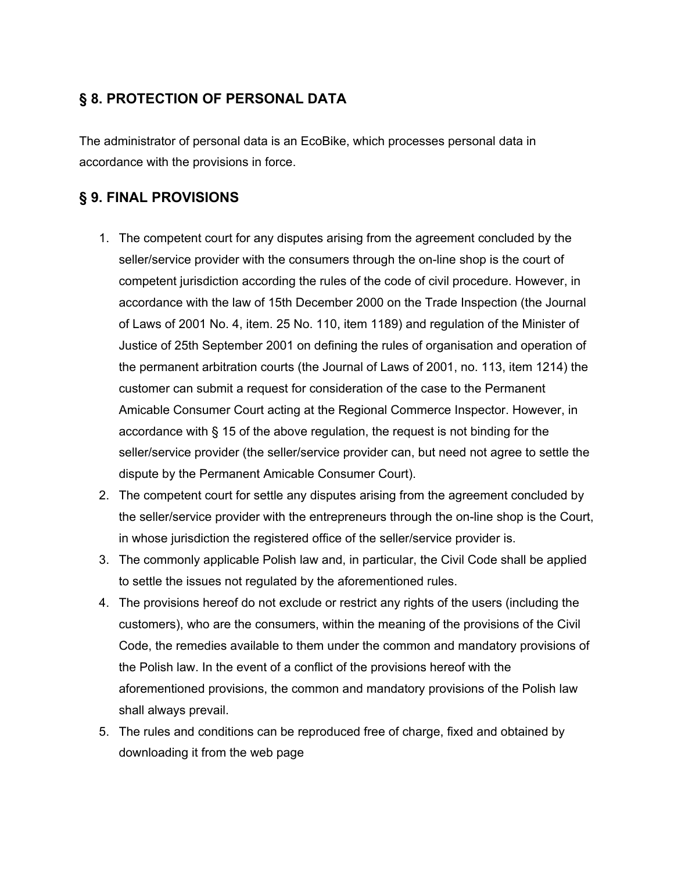#### **§ 8. PROTECTION OF PERSONAL DATA**

The administrator of personal data is an EcoBike, which processes personal data in accordance with the provisions in force.

### **§ 9. FINAL PROVISIONS**

- 1. The competent court for any disputes arising from the agreement concluded by the seller/service provider with the consumers through the on-line shop is the court of competent jurisdiction according the rules of the code of civil procedure. However, in accordance with the law of 15th December 2000 on the Trade Inspection (the Journal of Laws of 2001 No. 4, item. 25 No. 110, item 1189) and regulation of the Minister of Justice of 25th September 2001 on defining the rules of organisation and operation of the permanent arbitration courts (the Journal of Laws of 2001, no. 113, item 1214) the customer can submit a request for consideration of the case to the Permanent Amicable Consumer Court acting at the Regional Commerce Inspector. However, in accordance with § 15 of the above regulation, the request is not binding for the seller/service provider (the seller/service provider can, but need not agree to settle the dispute by the Permanent Amicable Consumer Court).
- 2. The competent court for settle any disputes arising from the agreement concluded by the seller/service provider with the entrepreneurs through the on-line shop is the Court, in whose jurisdiction the registered office of the seller/service provider is.
- 3. The commonly applicable Polish law and, in particular, the Civil Code shall be applied to settle the issues not regulated by the aforementioned rules.
- 4. The provisions hereof do not exclude or restrict any rights of the users (including the customers), who are the consumers, within the meaning of the provisions of the Civil Code, the remedies available to them under the common and mandatory provisions of the Polish law. In the event of a conflict of the provisions hereof with the aforementioned provisions, the common and mandatory provisions of the Polish law shall always prevail.
- 5. The rules and conditions can be reproduced free of charge, fixed and obtained by downloading it from the web page